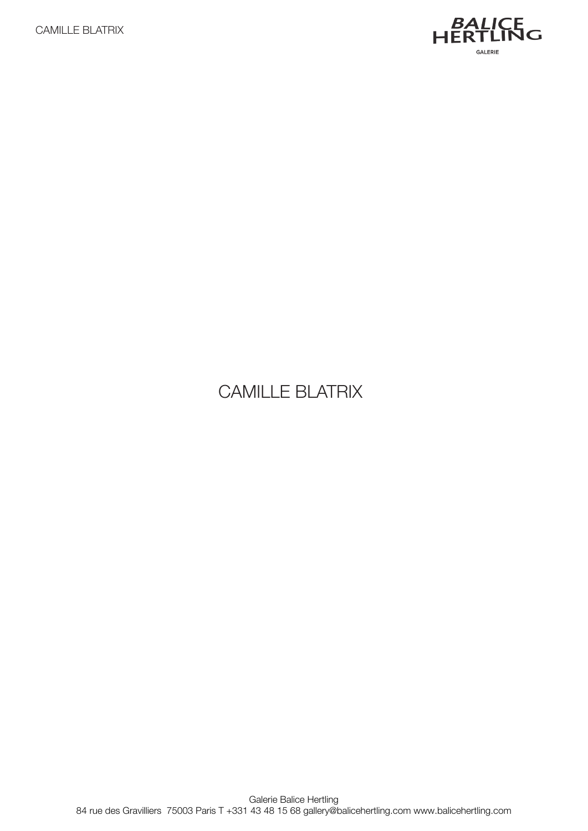

# CAMILLE BLATRIX

Galerie Balice Hertling 84 rue des Gravilliers 75003 Paris T +331 43 48 15 68 gallery@balicehertling.com www.balicehertling.com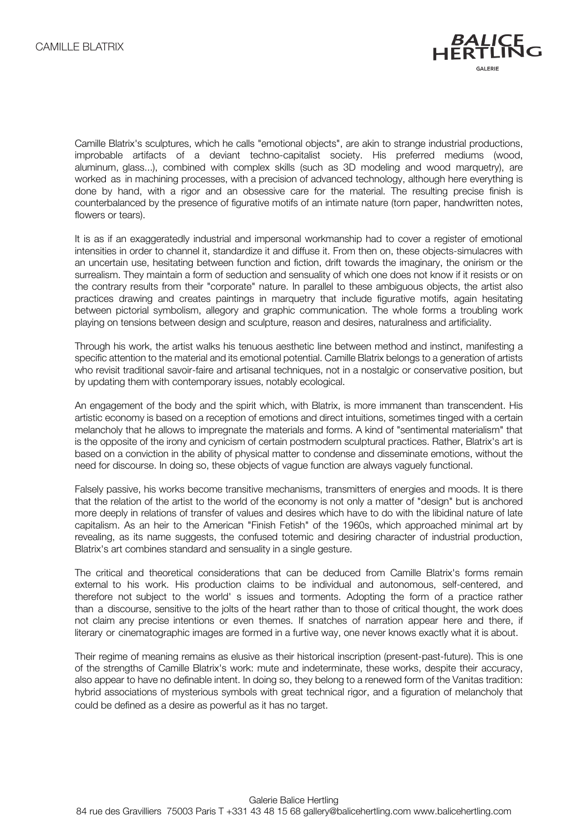

Camille Blatrix's sculptures, which he calls "emotional objects", are akin to strange industrial productions, improbable artifacts of a deviant techno-capitalist society. His preferred mediums (wood, aluminum, glass...), combined with complex skills (such as 3D modeling and wood marquetry), are worked as in machining processes, with a precision of advanced technology, although here everything is done by hand, with a rigor and an obsessive care for the material. The resulting precise finish is counterbalanced by the presence of figurative motifs of an intimate nature (torn paper, handwritten notes, flowers or tears).

It is as if an exaggeratedly industrial and impersonal workmanship had to cover a register of emotional intensities in order to channel it, standardize it and diffuse it. From then on, these objects-simulacres with an uncertain use, hesitating between function and fiction, drift towards the imaginary, the onirism or the surrealism. They maintain a form of seduction and sensuality of which one does not know if it resists or on the contrary results from their "corporate" nature. In parallel to these ambiguous objects, the artist also practices drawing and creates paintings in marquetry that include figurative motifs, again hesitating between pictorial symbolism, allegory and graphic communication. The whole forms a troubling work playing on tensions between design and sculpture, reason and desires, naturalness and artificiality.

Through his work, the artist walks his tenuous aesthetic line between method and instinct, manifesting a specific attention to the material and its emotional potential. Camille Blatrix belongs to a generation of artists who revisit traditional savoir-faire and artisanal techniques, not in a nostalgic or conservative position, but by updating them with contemporary issues, notably ecological.

An engagement of the body and the spirit which, with Blatrix, is more immanent than transcendent. His artistic economy is based on a reception of emotions and direct intuitions, sometimes tinged with a certain melancholy that he allows to impregnate the materials and forms. A kind of "sentimental materialism" that is the opposite of the irony and cynicism of certain postmodern sculptural practices. Rather, Blatrix's art is based on a conviction in the ability of physical matter to condense and disseminate emotions, without the need for discourse. In doing so, these objects of vague function are always vaguely functional.

Falsely passive, his works become transitive mechanisms, transmitters of energies and moods. It is there that the relation of the artist to the world of the economy is not only a matter of "design" but is anchored more deeply in relations of transfer of values and desires which have to do with the libidinal nature of late capitalism. As an heir to the American "Finish Fetish" of the 1960s, which approached minimal art by revealing, as its name suggests, the confused totemic and desiring character of industrial production, Blatrix's art combines standard and sensuality in a single gesture.

The critical and theoretical considerations that can be deduced from Camille Blatrix's forms remain external to his work. His production claims to be individual and autonomous, self-centered, and therefore not subject to the world' s issues and torments. Adopting the form of a practice rather than a discourse, sensitive to the jolts of the heart rather than to those of critical thought, the work does not claim any precise intentions or even themes. If snatches of narration appear here and there, if literary or cinematographic images are formed in a furtive way, one never knows exactly what it is about.

Their regime of meaning remains as elusive as their historical inscription (present-past-future). This is one of the strengths of Camille Blatrix's work: mute and indeterminate, these works, despite their accuracy, also appear to have no definable intent. In doing so, they belong to a renewed form of the Vanitas tradition: hybrid associations of mysterious symbols with great technical rigor, and a figuration of melancholy that could be defined as a desire as powerful as it has no target.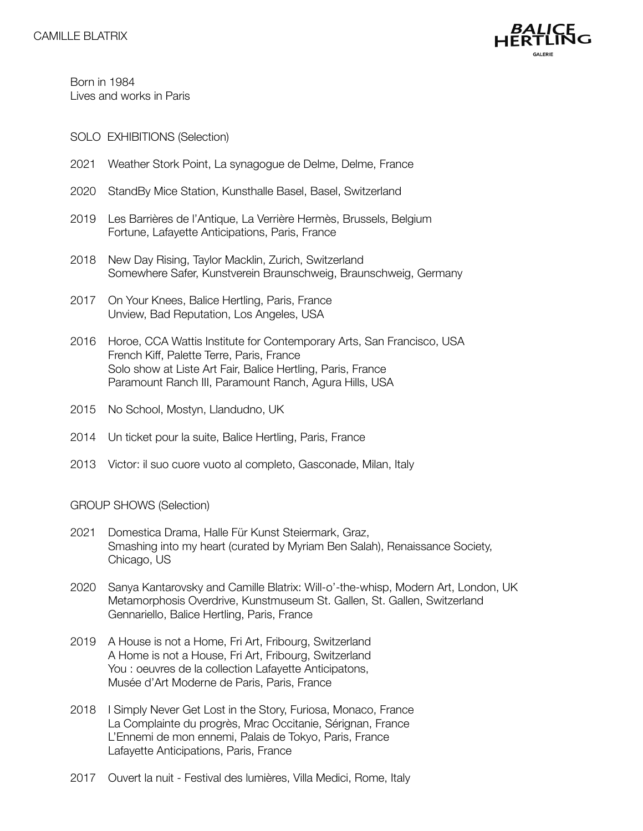

Born in 1984 Lives and works in Paris

- SOLO EXHIBITIONS (Selection)
- 2021 Weather Stork Point, La synagogue de Delme, Delme, France
- 2020 StandBy Mice Station, Kunsthalle Basel, Basel, Switzerland
- 2019 Les Barrières de l'Antique, La Verrière Hermès, Brussels, Belgium Fortune, Lafayette Anticipations, Paris, France
- 2018 New Day Rising, Taylor Macklin, Zurich, Switzerland Somewhere Safer, Kunstverein Braunschweig, Braunschweig, Germany
- 2017 On Your Knees, Balice Hertling, Paris, France Unview, Bad Reputation, Los Angeles, USA
- 2016 Horoe, CCA Wattis Institute for Contemporary Arts, San Francisco, USA French Kiff, Palette Terre, Paris, France Solo show at Liste Art Fair, Balice Hertling, Paris, France Paramount Ranch III, Paramount Ranch, Agura Hills, USA
- 2015 No School, Mostyn, Llandudno, UK
- 2014 Un ticket pour la suite, Balice Hertling, Paris, France
- 2013 Victor: il suo cuore vuoto al completo, Gasconade, Milan, Italy

#### GROUP SHOWS (Selection)

- 2021 Domestica Drama, Halle Für Kunst Steiermark, Graz, Smashing into my heart (curated by Myriam Ben Salah), Renaissance Society, Chicago, US
- 2020 Sanya Kantarovsky and Camille Blatrix: Will-o'-the-whisp, Modern Art, London, UK Metamorphosis Overdrive, Kunstmuseum St. Gallen, St. Gallen, Switzerland Gennariello, Balice Hertling, Paris, France
- 2019 A House is not a Home, Fri Art, Fribourg, Switzerland A Home is not a House, Fri Art, Fribourg, Switzerland You : oeuvres de la collection Lafayette Anticipatons, Musée d'Art Moderne de Paris, Paris, France
- 2018 I Simply Never Get Lost in the Story, Furiosa, Monaco, France La Complainte du progrès, Mrac Occitanie, Sérignan, France L'Ennemi de mon ennemi, Palais de Tokyo, Paris, France Lafayette Anticipations, Paris, France
- 2017 Ouvert la nuit Festival des lumières, Villa Medici, Rome, Italy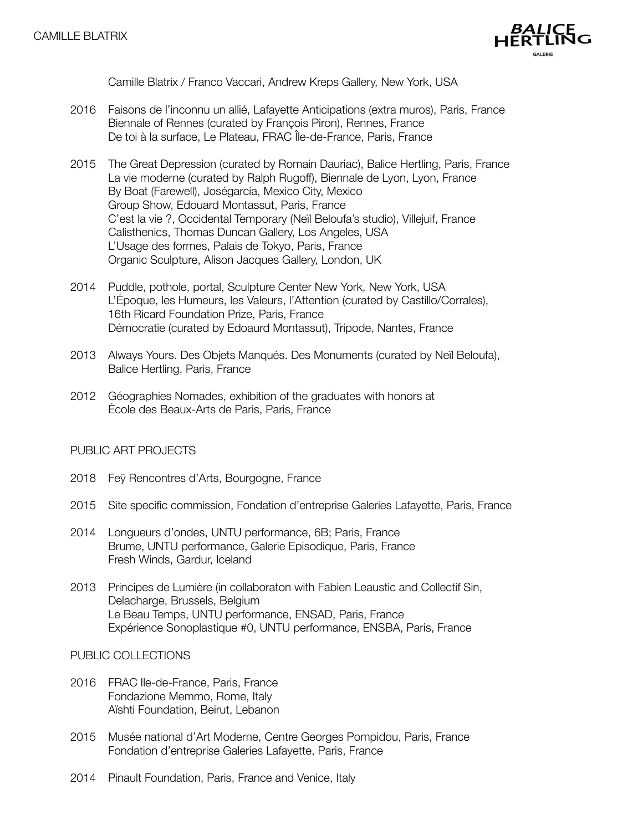

Camille Blatrix / Franco Vaccari, Andrew Kreps Gallery, New York, USA

- 2016 Faisons de l'inconnu un allié, Lafayette Anticipations (extra muros), Paris, France Biennale of Rennes (curated by François Piron), Rennes, France De toi à la surface, Le Plateau, FRAC Île-de-France, Paris, France
- 2015 The Great Depression (curated by Romain Dauriac), Balice Hertling, Paris, France La vie moderne (curated by Ralph Rugoff), Biennale de Lyon, Lyon, France By Boat (Farewell), Joségarcía, Mexico City, Mexico Group Show, Edouard Montassut, Paris, France C'est la vie ?, Occidental Temporary (Neïl Beloufa's studio), Villejuif, France Calisthenics, Thomas Duncan Gallery, Los Angeles, USA L'Usage des formes, Palais de Tokyo, Paris, France Organic Sculpture, Alison Jacques Gallery, London, UK
- 2014 Puddle, pothole, portal, Sculpture Center New York, New York, USA L'Époque, les Humeurs, les Valeurs, l'Attention (curated by Castillo/Corrales), 16th Ricard Foundation Prize, Paris, France Démocratie (curated by Edoaurd Montassut), Tripode, Nantes, France
- 2013 Always Yours. Des Objets Manqués. Des Monuments (curated by Neïl Beloufa), Balice Hertling, Paris, France
- 2012 Géographies Nomades, exhibition of the graduates with honors at École des Beaux-Arts de Paris, Paris, France

### PUBLIC ART PROJECTS

- 2018 Feÿ Rencontres d'Arts, Bourgogne, France
- 2015 Site specific commission, Fondation d'entreprise Galeries Lafayette, Paris, France
- 2014 Longueurs d'ondes, UNTU performance, 6B; Paris, France Brume, UNTU performance, Galerie Episodique, Paris, France Fresh Winds, Gardur, Iceland
- 2013 Principes de Lumière (in collaboraton with Fabien Leaustic and Collectif Sin, Delacharge, Brussels, Belgium Le Beau Temps, UNTU performance, ENSAD, Paris, France Expérience Sonoplastique #0, UNTU performance, ENSBA, Paris, France

PUBLIC COLLECTIONS

- 2016 FRAC Ile-de-France, Paris, France Fondazione Memmo, Rome, Italy Aïshti Foundation, Beirut, Lebanon
- 2015 Musée national d'Art Moderne, Centre Georges Pompidou, Paris, France Fondation d'entreprise Galeries Lafayette, Paris, France
- 2014 Pinault Foundation, Paris, France and Venice, Italy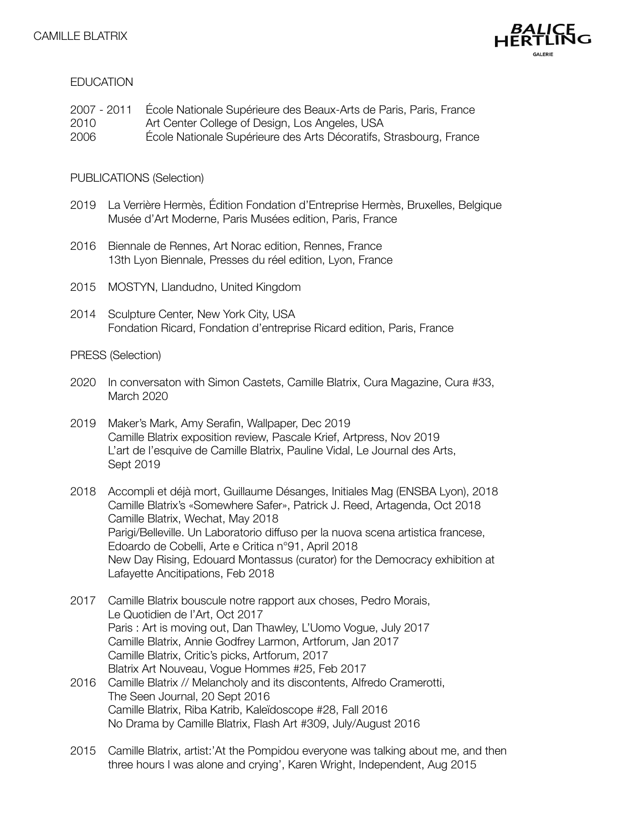

### **EDUCATION**

2007 - 2011 École Nationale Supérieure des Beaux-Arts de Paris, Paris, France 2010 Art Center College of Design, Los Angeles, USA 2006 École Nationale Supérieure des Arts Décoratifs, Strasbourg, France

#### PUBLICATIONS (Selection)

- 2019 La Verrière Hermès, Édition Fondation d'Entreprise Hermès, Bruxelles, Belgique Musée d'Art Moderne, Paris Musées edition, Paris, France
- 2016 Biennale de Rennes, Art Norac edition, Rennes, France 13th Lyon Biennale, Presses du réel edition, Lyon, France
- 2015 MOSTYN, Llandudno, United Kingdom
- 2014 Sculpture Center, New York City, USA Fondation Ricard, Fondation d'entreprise Ricard edition, Paris, France

#### PRESS (Selection)

- 2020 In conversaton with Simon Castets, Camille Blatrix, Cura Magazine, Cura #33, March 2020
- 2019 Maker's Mark, Amy Serafin, Wallpaper, Dec 2019 Camille Blatrix exposition review, Pascale Krief, Artpress, Nov 2019 L'art de l'esquive de Camille Blatrix, Pauline Vidal, Le Journal des Arts, Sept 2019
- 2018 Accompli et déjà mort, Guillaume Désanges, Initiales Mag (ENSBA Lyon), 2018 Camille Blatrix's «Somewhere Safer», Patrick J. Reed, Artagenda, Oct 2018 Camille Blatrix, Wechat, May 2018 Parigi/Belleville. Un Laboratorio diffuso per la nuova scena artistica francese, Edoardo de Cobelli, Arte e Critica n°91, April 2018 New Day Rising, Edouard Montassus (curator) for the Democracy exhibition at Lafayette Ancitipations, Feb 2018
- 2017 Camille Blatrix bouscule notre rapport aux choses, Pedro Morais, Le Quotidien de l'Art, Oct 2017 Paris : Art is moving out, Dan Thawley, L'Uomo Vogue, July 2017 Camille Blatrix, Annie Godfrey Larmon, Artforum, Jan 2017 Camille Blatrix, Critic's picks, Artforum, 2017 Blatrix Art Nouveau, Vogue Hommes #25, Feb 2017
- 2016 Camille Blatrix // Melancholy and its discontents, Alfredo Cramerotti, The Seen Journal, 20 Sept 2016 Camille Blatrix, Riba Katrib, Kaleïdoscope #28, Fall 2016 No Drama by Camille Blatrix, Flash Art #309, July/August 2016
- 2015 Camille Blatrix, artist:'At the Pompidou everyone was talking about me, and then three hours I was alone and crying', Karen Wright, Independent, Aug 2015